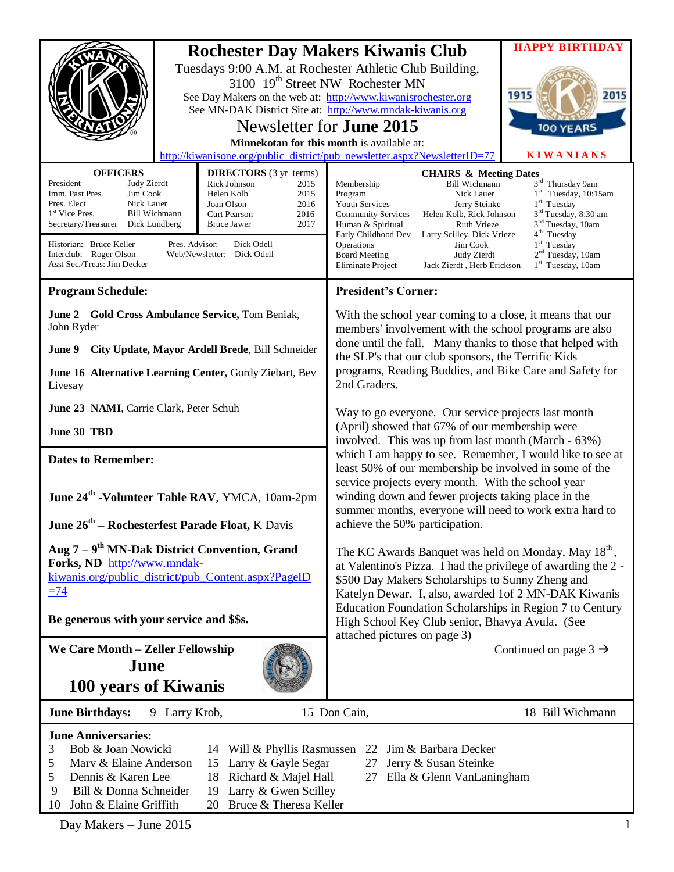|                                                                                                                                                                                                                                                                                                      |                                                                                                                                                                                                     | <b>Rochester Day Makers Kiwanis Club</b><br>Tuesdays 9:00 A.M. at Rochester Athletic Club Building,<br>3100 19 <sup>th</sup> Street NW Rochester MN<br>See Day Makers on the web at: http://www.kiwanisrochester.org<br>See MN-DAK District Site at: http://www.mndak-kiwanis.org<br>Newsletter for <b>June 2015</b><br>Minnekotan for this month is available at:<br>http://kiwanisone.org/public_district/pub_newsletter.aspx?NewsletterID=77 | <b>HAPPY BIRTHDAY</b><br>1915<br>2015<br>100 YEARS<br><b>KIWANIANS</b>                                                                                                                                                                         |
|------------------------------------------------------------------------------------------------------------------------------------------------------------------------------------------------------------------------------------------------------------------------------------------------------|-----------------------------------------------------------------------------------------------------------------------------------------------------------------------------------------------------|-------------------------------------------------------------------------------------------------------------------------------------------------------------------------------------------------------------------------------------------------------------------------------------------------------------------------------------------------------------------------------------------------------------------------------------------------|------------------------------------------------------------------------------------------------------------------------------------------------------------------------------------------------------------------------------------------------|
|                                                                                                                                                                                                                                                                                                      |                                                                                                                                                                                                     |                                                                                                                                                                                                                                                                                                                                                                                                                                                 |                                                                                                                                                                                                                                                |
| <b>OFFICERS</b><br>President<br>Judy Zierdt<br>Imm. Past Pres.<br>Jim Cook<br>Pres. Elect<br>Nick Lauer<br>1 <sup>st</sup> Vice Pres.<br>Bill Wichmann<br>Secretary/Treasurer<br>Dick Lundberg<br>Pres. Advisor:<br>Historian: Bruce Keller<br>Interclub: Roger Olson<br>Asst Sec./Treas: Jim Decker | <b>DIRECTORS</b> (3 yr terms)<br>Rick Johnson<br>2015<br>Helen Kolb<br>2015<br>2016<br>Joan Olson<br>2016<br>Curt Pearson<br>2017<br><b>Bruce Jawer</b><br>Dick Odell<br>Web/Newsletter: Dick Odell | <b>CHAIRS &amp; Meeting Dates</b><br><b>Bill Wichmann</b><br>Membership<br>Program<br>Nick Lauer<br>Youth Services<br>Jerry Steinke<br><b>Community Services</b><br>Helen Kolb, Rick Johnson<br>Human & Spiritual<br>Ruth Vrieze<br>Early Childhood Dev<br>Larry Scilley, Dick Vrieze<br>Operations<br>Jim Cook<br><b>Board Meeting</b><br>Judy Zierdt<br><b>Eliminate Project</b><br>Jack Zierdt, Herb Erickson                                | 3rd Thursday 9am<br>$1st$ Tuesday, 10:15am<br>$1st$ Tuesday<br>3 <sup>rd</sup> Tuesday, 8:30 am<br>3 <sup>nd</sup> Tuesday, 10am<br>4 <sup>th</sup> Tuesday<br>1 <sup>st</sup> Tuesday<br>2 <sup>nd</sup> Tuesday, 10am<br>$1st$ Tuesday, 10am |
| <b>Program Schedule:</b>                                                                                                                                                                                                                                                                             |                                                                                                                                                                                                     | <b>President's Corner:</b>                                                                                                                                                                                                                                                                                                                                                                                                                      |                                                                                                                                                                                                                                                |
|                                                                                                                                                                                                                                                                                                      |                                                                                                                                                                                                     |                                                                                                                                                                                                                                                                                                                                                                                                                                                 |                                                                                                                                                                                                                                                |
| June 2 Gold Cross Ambulance Service, Tom Beniak,<br>John Ryder                                                                                                                                                                                                                                       |                                                                                                                                                                                                     | With the school year coming to a close, it means that our<br>members' involvement with the school programs are also<br>done until the fall. Many thanks to those that helped with                                                                                                                                                                                                                                                               |                                                                                                                                                                                                                                                |
| June 9                                                                                                                                                                                                                                                                                               | City Update, Mayor Ardell Brede, Bill Schneider                                                                                                                                                     | the SLP's that our club sponsors, the Terrific Kids                                                                                                                                                                                                                                                                                                                                                                                             |                                                                                                                                                                                                                                                |
| June 16 Alternative Learning Center, Gordy Ziebart, Bev<br>Livesay                                                                                                                                                                                                                                   |                                                                                                                                                                                                     | programs, Reading Buddies, and Bike Care and Safety for<br>2nd Graders.                                                                                                                                                                                                                                                                                                                                                                         |                                                                                                                                                                                                                                                |
| June 23 NAMI, Carrie Clark, Peter Schuh                                                                                                                                                                                                                                                              |                                                                                                                                                                                                     | Way to go everyone. Our service projects last month                                                                                                                                                                                                                                                                                                                                                                                             |                                                                                                                                                                                                                                                |
| June 30 TBD                                                                                                                                                                                                                                                                                          |                                                                                                                                                                                                     | (April) showed that 67% of our membership were<br>involved. This was up from last month (March - 63%)                                                                                                                                                                                                                                                                                                                                           |                                                                                                                                                                                                                                                |
| <b>Dates to Remember:</b>                                                                                                                                                                                                                                                                            |                                                                                                                                                                                                     | which I am happy to see. Remember, I would like to see at<br>least 50% of our membership be involved in some of the<br>service projects every month. With the school year                                                                                                                                                                                                                                                                       |                                                                                                                                                                                                                                                |
| June 24 <sup>th</sup> -Volunteer Table RAV, YMCA, 10am-2pm                                                                                                                                                                                                                                           |                                                                                                                                                                                                     | winding down and fewer projects taking place in the<br>summer months, everyone will need to work extra hard to                                                                                                                                                                                                                                                                                                                                  |                                                                                                                                                                                                                                                |
| June 26 <sup>th</sup> – Rochesterfest Parade Float, K Davis                                                                                                                                                                                                                                          |                                                                                                                                                                                                     | achieve the 50% participation.                                                                                                                                                                                                                                                                                                                                                                                                                  |                                                                                                                                                                                                                                                |
| Aug $7 - 9th$ MN-Dak District Convention, Grand<br>Forks, ND http://www.mndak-<br>kiwanis.org/public_district/pub_Content.aspx?PageID<br>$=74$<br>Be generous with your service and \$\$s.                                                                                                           |                                                                                                                                                                                                     | The KC Awards Banquet was held on Monday, May 18 <sup>th</sup> ,<br>at Valentino's Pizza. I had the privilege of awarding the 2 -<br>\$500 Day Makers Scholarships to Sunny Zheng and<br>Katelyn Dewar. I, also, awarded 1of 2 MN-DAK Kiwanis<br>Education Foundation Scholarships in Region 7 to Century<br>High School Key Club senior, Bhavya Avula. (See                                                                                    |                                                                                                                                                                                                                                                |
| We Care Month - Zeller Fellowship                                                                                                                                                                                                                                                                    |                                                                                                                                                                                                     | attached pictures on page 3)                                                                                                                                                                                                                                                                                                                                                                                                                    | Continued on page $3 \rightarrow$                                                                                                                                                                                                              |
| June                                                                                                                                                                                                                                                                                                 |                                                                                                                                                                                                     |                                                                                                                                                                                                                                                                                                                                                                                                                                                 |                                                                                                                                                                                                                                                |
| 100 years of Kiwanis                                                                                                                                                                                                                                                                                 |                                                                                                                                                                                                     |                                                                                                                                                                                                                                                                                                                                                                                                                                                 |                                                                                                                                                                                                                                                |
| 9 Larry Krob,<br><b>June Birthdays:</b>                                                                                                                                                                                                                                                              |                                                                                                                                                                                                     | 15 Don Cain,                                                                                                                                                                                                                                                                                                                                                                                                                                    | 18 Bill Wichmann                                                                                                                                                                                                                               |
| <b>June Anniversaries:</b><br>Bob & Joan Nowicki<br>3<br>Marv & Elaine Anderson<br>5<br>Dennis & Karen Lee<br>5<br>9<br>Bill & Donna Schneider                                                                                                                                                       | 14 Will & Phyllis Rasmussen<br>15 Larry & Gayle Segar<br>Richard & Majel Hall<br>18<br>19 Larry & Gwen Scilley                                                                                      | Jim & Barbara Decker<br>22<br>27<br>Jerry & Susan Steinke<br>Ella & Glenn VanLaningham<br>27                                                                                                                                                                                                                                                                                                                                                    |                                                                                                                                                                                                                                                |

Day Makers – June 2015 1

10 John & Elaine Griffith 20 Bruce & Theresa Keller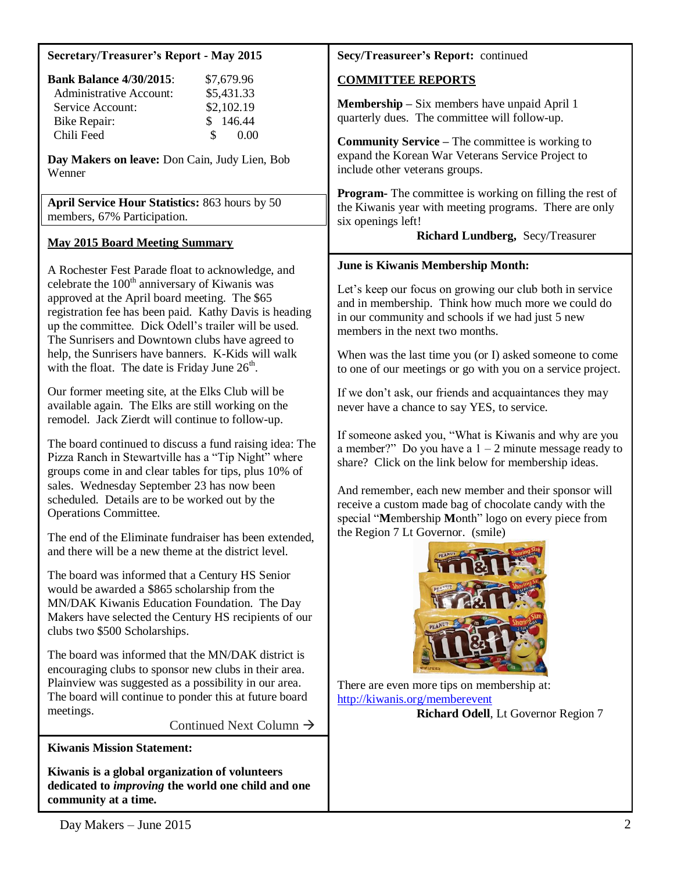| <b>Secretary/Treasurer's Report - May 2015</b>                                                                                                                                                                                                                                                                                                                                                                                                                                                                                                                                                                                                                                                                                                                                                                                                                                                                                                                                                                                                                                                                                                                                                                                                                                                                                                                                                                                                                                                                                                                                                                                                                  | Secy/Treasureer's Report: continued                                                                                                                                                                                                                                                                                                                                                                                                                                                                                                                                                                                                                                                                                                                                                                                                                                                                                                                                                               |
|-----------------------------------------------------------------------------------------------------------------------------------------------------------------------------------------------------------------------------------------------------------------------------------------------------------------------------------------------------------------------------------------------------------------------------------------------------------------------------------------------------------------------------------------------------------------------------------------------------------------------------------------------------------------------------------------------------------------------------------------------------------------------------------------------------------------------------------------------------------------------------------------------------------------------------------------------------------------------------------------------------------------------------------------------------------------------------------------------------------------------------------------------------------------------------------------------------------------------------------------------------------------------------------------------------------------------------------------------------------------------------------------------------------------------------------------------------------------------------------------------------------------------------------------------------------------------------------------------------------------------------------------------------------------|---------------------------------------------------------------------------------------------------------------------------------------------------------------------------------------------------------------------------------------------------------------------------------------------------------------------------------------------------------------------------------------------------------------------------------------------------------------------------------------------------------------------------------------------------------------------------------------------------------------------------------------------------------------------------------------------------------------------------------------------------------------------------------------------------------------------------------------------------------------------------------------------------------------------------------------------------------------------------------------------------|
| <b>Bank Balance 4/30/2015:</b><br>\$7,679.96<br><b>Administrative Account:</b><br>\$5,431.33<br>\$2,102.19<br>Service Account:<br>\$146.44<br><b>Bike Repair:</b><br>0.00<br>Chili Feed<br>\$<br>Day Makers on leave: Don Cain, Judy Lien, Bob<br>Wenner<br>April Service Hour Statistics: 863 hours by 50                                                                                                                                                                                                                                                                                                                                                                                                                                                                                                                                                                                                                                                                                                                                                                                                                                                                                                                                                                                                                                                                                                                                                                                                                                                                                                                                                      | <b>COMMITTEE REPORTS</b><br>Membership - Six members have unpaid April 1<br>quarterly dues. The committee will follow-up.<br><b>Community Service - The committee is working to</b><br>expand the Korean War Veterans Service Project to<br>include other veterans groups.<br><b>Program-</b> The committee is working on filling the rest of<br>the Kiwanis year with meeting programs. There are only                                                                                                                                                                                                                                                                                                                                                                                                                                                                                                                                                                                           |
| members, 67% Participation.<br><b>May 2015 Board Meeting Summary</b>                                                                                                                                                                                                                                                                                                                                                                                                                                                                                                                                                                                                                                                                                                                                                                                                                                                                                                                                                                                                                                                                                                                                                                                                                                                                                                                                                                                                                                                                                                                                                                                            | six openings left!<br>Richard Lundberg, Secy/Treasurer                                                                                                                                                                                                                                                                                                                                                                                                                                                                                                                                                                                                                                                                                                                                                                                                                                                                                                                                            |
| A Rochester Fest Parade float to acknowledge, and<br>celebrate the 100 <sup>th</sup> anniversary of Kiwanis was<br>approved at the April board meeting. The \$65<br>registration fee has been paid. Kathy Davis is heading<br>up the committee. Dick Odell's trailer will be used.<br>The Sunrisers and Downtown clubs have agreed to<br>help, the Sunrisers have banners. K-Kids will walk<br>with the float. The date is Friday June $26th$ .<br>Our former meeting site, at the Elks Club will be<br>available again. The Elks are still working on the<br>remodel. Jack Zierdt will continue to follow-up.<br>The board continued to discuss a fund raising idea: The<br>Pizza Ranch in Stewartville has a "Tip Night" where<br>groups come in and clear tables for tips, plus 10% of<br>sales. Wednesday September 23 has now been<br>scheduled. Details are to be worked out by the<br>Operations Committee.<br>The end of the Eliminate fundraiser has been extended,<br>and there will be a new theme at the district level.<br>The board was informed that a Century HS Senior<br>would be awarded a \$865 scholarship from the<br>MN/DAK Kiwanis Education Foundation. The Day<br>Makers have selected the Century HS recipients of our<br>clubs two \$500 Scholarships.<br>The board was informed that the MN/DAK district is<br>encouraging clubs to sponsor new clubs in their area.<br>Plainview was suggested as a possibility in our area.<br>The board will continue to ponder this at future board<br>meetings.<br>Continued Next Column $\rightarrow$<br><b>Kiwanis Mission Statement:</b><br>Kiwanis is a global organization of volunteers | June is Kiwanis Membership Month:<br>Let's keep our focus on growing our club both in service<br>and in membership. Think how much more we could do<br>in our community and schools if we had just 5 new<br>members in the next two months.<br>When was the last time you (or I) asked someone to come<br>to one of our meetings or go with you on a service project.<br>If we don't ask, our friends and acquaintances they may<br>never have a chance to say YES, to service.<br>If someone asked you, "What is Kiwanis and why are you<br>a member?" Do you have a $1 - 2$ minute message ready to<br>share? Click on the link below for membership ideas.<br>And remember, each new member and their sponsor will<br>receive a custom made bag of chocolate candy with the<br>special "Membership Month" logo on every piece from<br>the Region 7 Lt Governor. (smile)<br>There are even more tips on membership at:<br>http://kiwanis.org/memberevent<br>Richard Odell, Lt Governor Region 7 |
| dedicated to <i>improving</i> the world one child and one<br>community at a time.                                                                                                                                                                                                                                                                                                                                                                                                                                                                                                                                                                                                                                                                                                                                                                                                                                                                                                                                                                                                                                                                                                                                                                                                                                                                                                                                                                                                                                                                                                                                                                               |                                                                                                                                                                                                                                                                                                                                                                                                                                                                                                                                                                                                                                                                                                                                                                                                                                                                                                                                                                                                   |
| Day Makers $\equiv$ June 2015                                                                                                                                                                                                                                                                                                                                                                                                                                                                                                                                                                                                                                                                                                                                                                                                                                                                                                                                                                                                                                                                                                                                                                                                                                                                                                                                                                                                                                                                                                                                                                                                                                   |                                                                                                                                                                                                                                                                                                                                                                                                                                                                                                                                                                                                                                                                                                                                                                                                                                                                                                                                                                                                   |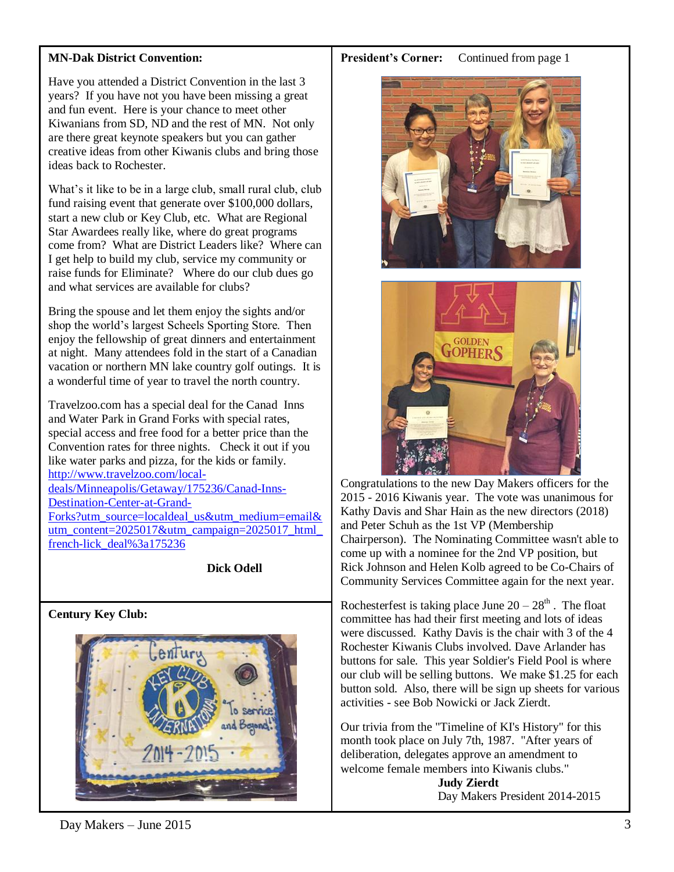# **MN-Dak District Convention:**

Have you attended a District Convention in the last 3 years? If you have not you have been missing a great and fun event. Here is your chance to meet other Kiwanians from SD, ND and the rest of MN. Not only are there great keynote speakers but you can gather creative ideas from other Kiwanis clubs and bring those ideas back to Rochester.

What's it like to be in a large club, small rural club, club fund raising event that generate over \$100,000 dollars, start a new club or Key Club, etc. What are Regional Star Awardees really like, where do great programs come from? What are District Leaders like? Where can I get help to build my club, service my community or raise funds for Eliminate? Where do our club dues go and what services are available for clubs?

Bring the spouse and let them enjoy the sights and/or shop the world's largest Scheels Sporting Store. Then enjoy the fellowship of great dinners and entertainment at night. Many attendees fold in the start of a Canadian vacation or northern MN lake country golf outings. It is a wonderful time of year to travel the north country.

Travelzoo.com has a special deal for the Canad Inns and Water Park in Grand Forks with special rates, special access and free food for a better price than the Convention rates for three nights. Check it out if you like water parks and pizza, for the kids or family. [http://www.travelzoo.com/local](http://www.travelzoo.com/local-deals/Minneapolis/Getaway/175236/Canad-Inns-Destination-Center-at-Grand-Forks?utm_source=localdeal_us&utm_medium=email&utm_content=2025017&utm_campaign=2025017_html_french-lick_deal%3a175236)[deals/Minneapolis/Getaway/175236/Canad-Inns-](http://www.travelzoo.com/local-deals/Minneapolis/Getaway/175236/Canad-Inns-Destination-Center-at-Grand-Forks?utm_source=localdeal_us&utm_medium=email&utm_content=2025017&utm_campaign=2025017_html_french-lick_deal%3a175236)[Destination-Center-at-Grand-](http://www.travelzoo.com/local-deals/Minneapolis/Getaway/175236/Canad-Inns-Destination-Center-at-Grand-Forks?utm_source=localdeal_us&utm_medium=email&utm_content=2025017&utm_campaign=2025017_html_french-lick_deal%3a175236)[Forks?utm\\_source=localdeal\\_us&utm\\_medium=email&](http://www.travelzoo.com/local-deals/Minneapolis/Getaway/175236/Canad-Inns-Destination-Center-at-Grand-Forks?utm_source=localdeal_us&utm_medium=email&utm_content=2025017&utm_campaign=2025017_html_french-lick_deal%3a175236) utm\_content= $2025017\&$ utm\_campaign=2025017\_html [french-lick\\_deal%3a175236](http://www.travelzoo.com/local-deals/Minneapolis/Getaway/175236/Canad-Inns-Destination-Center-at-Grand-Forks?utm_source=localdeal_us&utm_medium=email&utm_content=2025017&utm_campaign=2025017_html_french-lick_deal%3a175236)

**Dick Odell**

# **Century Key Club:**



#### **President's Corner:** Continued from page 1





Congratulations to the new Day Makers officers for the 2015 - 2016 Kiwanis year. The vote was unanimous for Kathy Davis and Shar Hain as the new directors (2018) and Peter Schuh as the 1st VP (Membership Chairperson). The Nominating Committee wasn't able to come up with a nominee for the 2nd VP position, but Rick Johnson and Helen Kolb agreed to be Co-Chairs of Community Services Committee again for the next year.

Rochesterfest is taking place June  $20 - 28<sup>th</sup>$ . The float committee has had their first meeting and lots of ideas were discussed. Kathy Davis is the chair with 3 of the 4 Rochester Kiwanis Clubs involved. Dave Arlander has buttons for sale. This year Soldier's Field Pool is where our club will be selling buttons. We make \$1.25 for each button sold. Also, there will be sign up sheets for various activities - see Bob Nowicki or Jack Zierdt.

Our trivia from the "Timeline of KI's History" for this month took place on July 7th, 1987. "After years of deliberation, delegates approve an amendment to welcome female members into Kiwanis clubs."

 **Judy Zierdt** Day Makers President 2014-2015

 $Day \text{Makers} - June \text{ } 2015$  3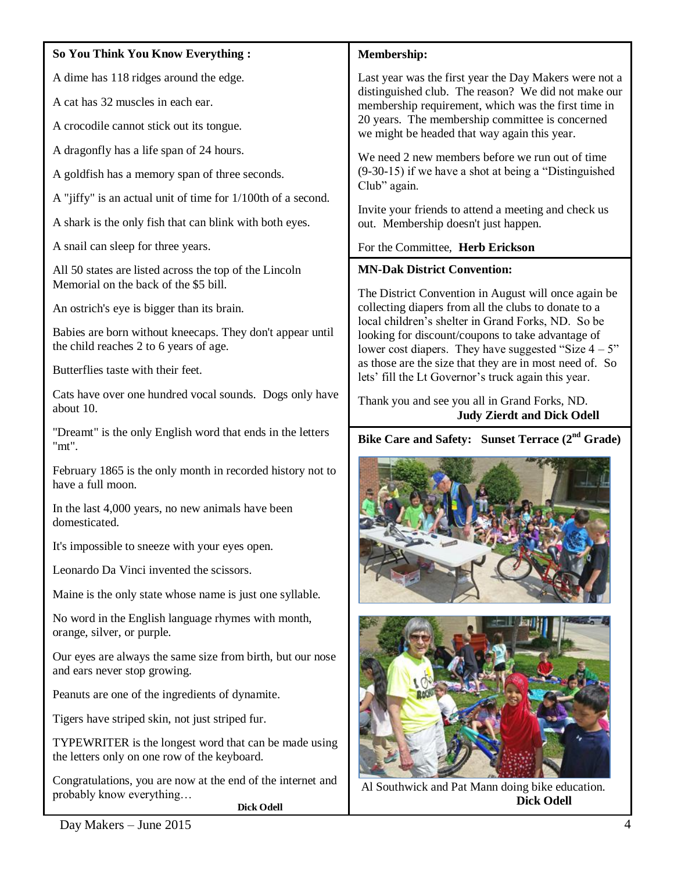#### **So You Think You Know Everything :**

A dime has 118 ridges around the edge.

A cat has 32 muscles in each ear.

A crocodile cannot stick out its tongue.

A dragonfly has a life span of 24 hours.

A goldfish has a memory span of three seconds.

A "jiffy" is an actual unit of time for 1/100th of a second.

A shark is the only fish that can blink with both eyes.

A snail can sleep for three years.

All 50 states are listed across the top of the Lincoln Memorial on the back of the \$5 bill.

An ostrich's eye is bigger than its brain.

Babies are born without kneecaps. They don't appear until the child reaches 2 to 6 years of age.

Butterflies taste with their feet.

Cats have over one hundred vocal sounds. Dogs only have about 10.

"Dreamt" is the only English word that ends in the letters "mt".

February 1865 is the only month in recorded history not to have a full moon.

In the last 4,000 years, no new animals have been domesticated.

It's impossible to sneeze with your eyes open.

Leonardo Da Vinci invented the scissors.

Maine is the only state whose name is just one syllable.

No word in the English language rhymes with month, orange, silver, or purple.

Our eyes are always the same size from birth, but our nose and ears never stop growing.

Peanuts are one of the ingredients of dynamite.

Tigers have striped skin, not just striped fur.

TYPEWRITER is the longest word that can be made using the letters only on one row of the keyboard.

Congratulations, you are now at the end of the internet and probably know everything…

**Dick Odell**

#### **Membership:**

Last year was the first year the Day Makers were not a distinguished club. The reason? We did not make our membership requirement, which was the first time in 20 years. The membership committee is concerned we might be headed that way again this year.

We need 2 new members before we run out of time (9-30-15) if we have a shot at being a "Distinguished Club" again.

Invite your friends to attend a meeting and check us out. Membership doesn't just happen.

# For the Committee, **Herb Erickson**

# **MN-Dak District Convention:**

The District Convention in August will once again be collecting diapers from all the clubs to donate to a local children's shelter in Grand Forks, ND. So be looking for discount/coupons to take advantage of lower cost diapers. They have suggested "Size  $4 - 5$ " as those are the size that they are in most need of. So lets' fill the Lt Governor's truck again this year.

Thank you and see you all in Grand Forks, ND.  **Judy Zierdt and Dick Odell** 

**Bike Care and Safety: Sunset Terrace (2nd Grade)**





Al Southwick and Pat Mann doing bike education. **Dick Odell**